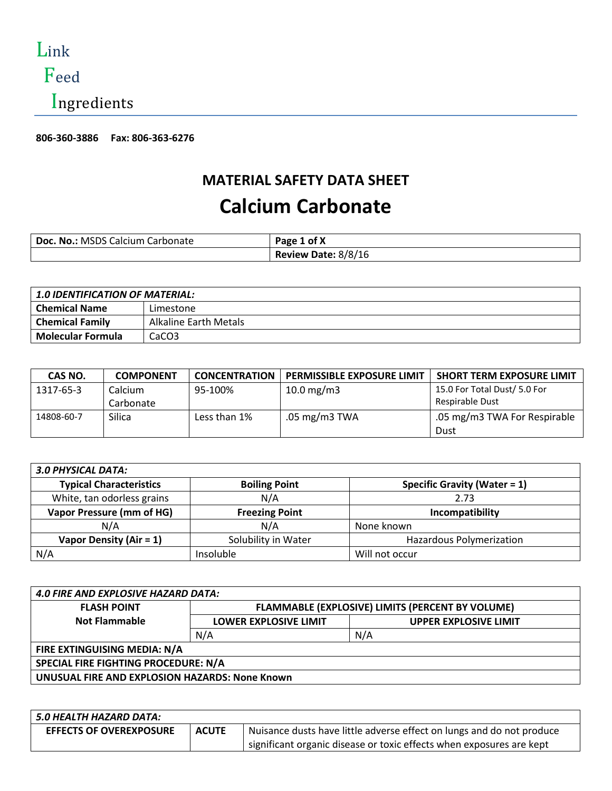Link

# Feed

Ingredients

**806-360-3886 Fax: 806-363-6276** 

## **MATERIAL SAFETY DATA SHEET**

# **Calcium Carbonate**

| Doc. No.: MSDS Calcium Carbonate | Page 1 of X         |
|----------------------------------|---------------------|
|                                  | Review Date: 8/8/16 |

| <b>1.0 IDENTIFICATION OF MATERIAL:</b> |                       |  |
|----------------------------------------|-----------------------|--|
| <b>Chemical Name</b>                   | Limestone             |  |
| <b>Chemical Family</b>                 | Alkaline Earth Metals |  |
| <b>Molecular Formula</b>               | CaCO <sub>3</sub>     |  |

| CAS NO.    | <b>COMPONENT</b> | <b>CONCENTRATION</b> | <b>PERMISSIBLE EXPOSURE LIMIT</b> | <b>SHORT TERM EXPOSURE LIMIT</b> |
|------------|------------------|----------------------|-----------------------------------|----------------------------------|
| 1317-65-3  | Calcium          | 95-100%              | 10.0 $mg/m3$                      | 15.0 For Total Dust/ 5.0 For     |
|            | Carbonate        |                      |                                   | Respirable Dust                  |
| 14808-60-7 | Silica           | Less than 1%         | .05 mg/m3 TWA                     | .05 mg/m3 TWA For Respirable     |
|            |                  |                      |                                   | Dust                             |

| <b>3.0 PHYSICAL DATA:</b>      |                       |                                     |
|--------------------------------|-----------------------|-------------------------------------|
| <b>Typical Characteristics</b> | <b>Boiling Point</b>  | <b>Specific Gravity (Water = 1)</b> |
| White, tan odorless grains     | N/A                   | 2.73                                |
| Vapor Pressure (mm of HG)      | <b>Freezing Point</b> | Incompatibility                     |
| N/A                            | N/A                   | None known                          |
| Vapor Density (Air = $1$ )     | Solubility in Water   | Hazardous Polymerization            |
| N/A                            | Insoluble             | Will not occur                      |

| <b>4.0 FIRE AND EXPLOSIVE HAZARD DATA:</b>     |                                                  |                              |
|------------------------------------------------|--------------------------------------------------|------------------------------|
| <b>FLASH POINT</b>                             | FLAMMABLE (EXPLOSIVE) LIMITS (PERCENT BY VOLUME) |                              |
| <b>Not Flammable</b>                           | <b>LOWER EXPLOSIVE LIMIT</b>                     | <b>UPPER EXPLOSIVE LIMIT</b> |
|                                                | N/A                                              | N/A                          |
| FIRE EXTINGUISING MEDIA: N/A                   |                                                  |                              |
| SPECIAL FIRE FIGHTING PROCEDURE: N/A           |                                                  |                              |
| UNUSUAL FIRE AND EXPLOSION HAZARDS: None Known |                                                  |                              |

| 5.0 HEALTH HAZARD DATA:        |              |                                                                       |
|--------------------------------|--------------|-----------------------------------------------------------------------|
| <b>EFFECTS OF OVEREXPOSURE</b> | <b>ACUTE</b> | Nuisance dusts have little adverse effect on lungs and do not produce |
|                                |              | significant organic disease or toxic effects when exposures are kept  |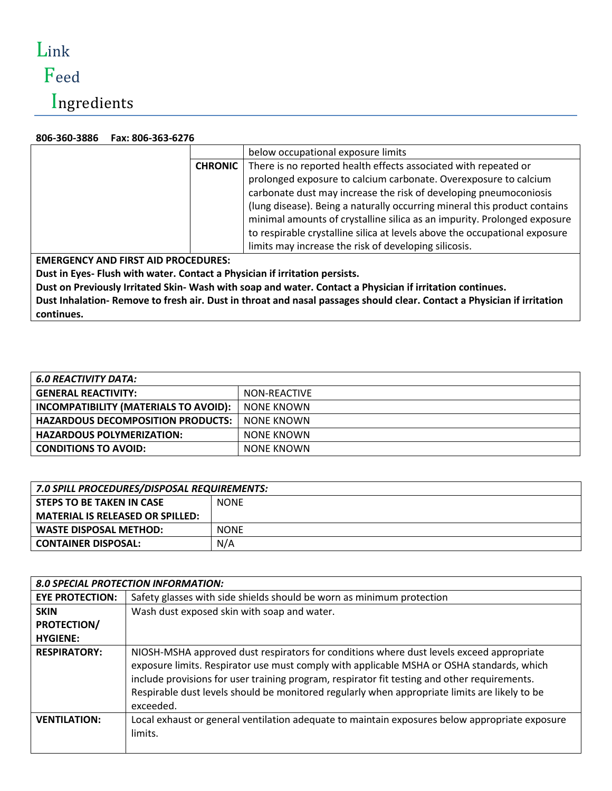# Link

# Feed

Ingredients

### **806-360-3886 Fax: 806-363-6276**

|                                                                             | below occupational exposure limits                                         |  |
|-----------------------------------------------------------------------------|----------------------------------------------------------------------------|--|
| <b>CHRONIC</b>                                                              | There is no reported health effects associated with repeated or            |  |
|                                                                             | prolonged exposure to calcium carbonate. Overexposure to calcium           |  |
|                                                                             | carbonate dust may increase the risk of developing pneumoconiosis          |  |
|                                                                             | (lung disease). Being a naturally occurring mineral this product contains  |  |
|                                                                             | minimal amounts of crystalline silica as an impurity. Prolonged exposure   |  |
|                                                                             | to respirable crystalline silica at levels above the occupational exposure |  |
|                                                                             | limits may increase the risk of developing silicosis.                      |  |
| <b>EMERGENCY AND FIRST AID PROCEDURES:</b>                                  |                                                                            |  |
| Dust in Eyes- Flush with water. Contact a Physician if irritation persists. |                                                                            |  |

**Dust on Previously Irritated Skin- Wash with soap and water. Contact a Physician if irritation continues. Dust Inhalation- Remove to fresh air. Dust in throat and nasal passages should clear. Contact a Physician if irritation continues.**

| <b>6.0 REACTIVITY DATA:</b>              |              |
|------------------------------------------|--------------|
| <b>GENERAL REACTIVITY:</b>               | NON-REACTIVE |
| INCOMPATIBILITY (MATERIALS TO AVOID):    | NONE KNOWN   |
| <b>HAZARDOUS DECOMPOSITION PRODUCTS:</b> | NONE KNOWN   |
| <b>HAZARDOUS POLYMERIZATION:</b>         | NONE KNOWN   |
| <b>CONDITIONS TO AVOID:</b>              | NONE KNOWN   |

| 7.0 SPILL PROCEDURES/DISPOSAL REQUIREMENTS: |             |  |
|---------------------------------------------|-------------|--|
| STEPS TO BE TAKEN IN CASE                   | <b>NONE</b> |  |
| <b>MATERIAL IS RELEASED OR SPILLED:</b>     |             |  |
| <b>WASTE DISPOSAL METHOD:</b>               | <b>NONE</b> |  |
| <b>CONTAINER DISPOSAL:</b>                  | N/A         |  |

|                        | <b>8.0 SPECIAL PROTECTION INFORMATION:</b>                                                                                                                                                                                                                                                                                                                                                          |
|------------------------|-----------------------------------------------------------------------------------------------------------------------------------------------------------------------------------------------------------------------------------------------------------------------------------------------------------------------------------------------------------------------------------------------------|
| <b>EYE PROTECTION:</b> | Safety glasses with side shields should be worn as minimum protection                                                                                                                                                                                                                                                                                                                               |
| <b>SKIN</b>            | Wash dust exposed skin with soap and water.                                                                                                                                                                                                                                                                                                                                                         |
| <b>PROTECTION/</b>     |                                                                                                                                                                                                                                                                                                                                                                                                     |
| <b>HYGIENE:</b>        |                                                                                                                                                                                                                                                                                                                                                                                                     |
| <b>RESPIRATORY:</b>    | NIOSH-MSHA approved dust respirators for conditions where dust levels exceed appropriate<br>exposure limits. Respirator use must comply with applicable MSHA or OSHA standards, which<br>include provisions for user training program, respirator fit testing and other requirements.<br>Respirable dust levels should be monitored regularly when appropriate limits are likely to be<br>exceeded. |
| <b>VENTILATION:</b>    | Local exhaust or general ventilation adequate to maintain exposures below appropriate exposure<br>limits.                                                                                                                                                                                                                                                                                           |